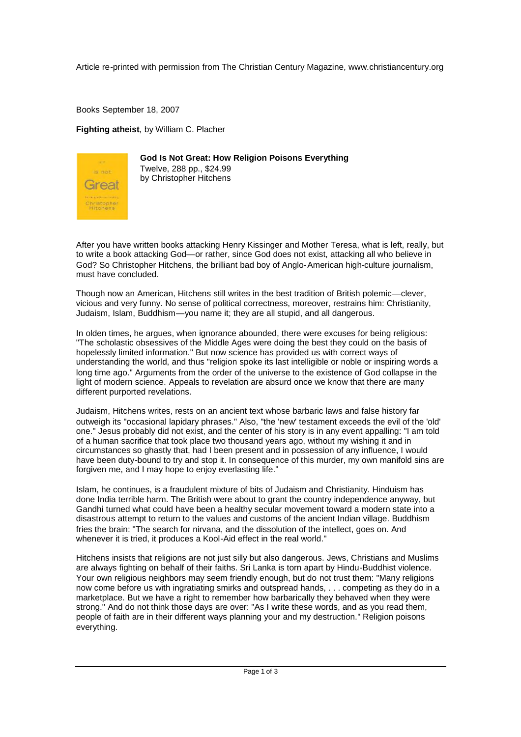Article re-printed with permission from The Christian Century Magazine, www.christiancentury.org

Books September 18, 2007

**Fighting atheist**, by William C. Placher



**God Is Not Great: How Religion Poisons Everything** Twelve, 288 pp., \$24.99 by Christopher Hitchens

After you have written books attacking Henry Kissinger and Mother Teresa, what is left, really, but to write a book attacking God—or rather, since God does not exist, attacking all who believe in God? So Christopher Hitchens, the brilliant bad boy of Anglo-American high-culture journalism, must have concluded.

Though now an American, Hitchens still writes in the best tradition of British polemic—clever, vicious and very funny. No sense of political correctness, moreover, restrains him: Christianity, Judaism, Islam, Buddhism—you name it; they are all stupid, and all dangerous.

In olden times, he argues, when ignorance abounded, there were excuses for being religious: "The scholastic obsessives of the Middle Ages were doing the best they could on the basis of hopelessly limited information." But now science has provided us with correct ways of understanding the world, and thus "religion spoke its last intelligible or noble or inspiring words a long time ago." Arguments from the order of the universe to the existence of God collapse in the light of modern science. Appeals to revelation are absurd once we know that there are many different purported revelations.

Judaism, Hitchens writes, rests on an ancient text whose barbaric laws and false history far outweigh its "occasional lapidary phrases." Also, "the 'new' testament exceeds the evil of the 'old' one." Jesus probably did not exist, and the center of his story is in any event appalling: "I am told of a human sacrifice that took place two thousand years ago, without my wishing it and in circumstances so ghastly that, had I been present and in possession of any influence, I would have been duty-bound to try and stop it. In consequence of this murder, my own manifold sins are forgiven me, and I may hope to enjoy everlasting life."

Islam, he continues, is a fraudulent mixture of bits of Judaism and Christianity. Hinduism has done India terrible harm. The British were about to grant the country independence anyway, but Gandhi turned what could have been a healthy secular movement toward a modern state into a disastrous attempt to return to the values and customs of the ancient Indian village. Buddhism fries the brain: "The search for nirvana, and the dissolution of the intellect, goes on. And whenever it is tried, it produces a Kool-Aid effect in the real world."

Hitchens insists that religions are not just silly but also dangerous. Jews, Christians and Muslims are always fighting on behalf of their faiths. Sri Lanka is torn apart by Hindu-Buddhist violence. Your own religious neighbors may seem friendly enough, but do not trust them: "Many religions now come before us with ingratiating smirks and outspread hands, . . . competing as they do in a marketplace. But we have a right to remember how barbarically they behaved when they were strong." And do not think those days are over: "As I write these words, and as you read them, people of faith are in their different ways planning your and my destruction." Religion poisons everything.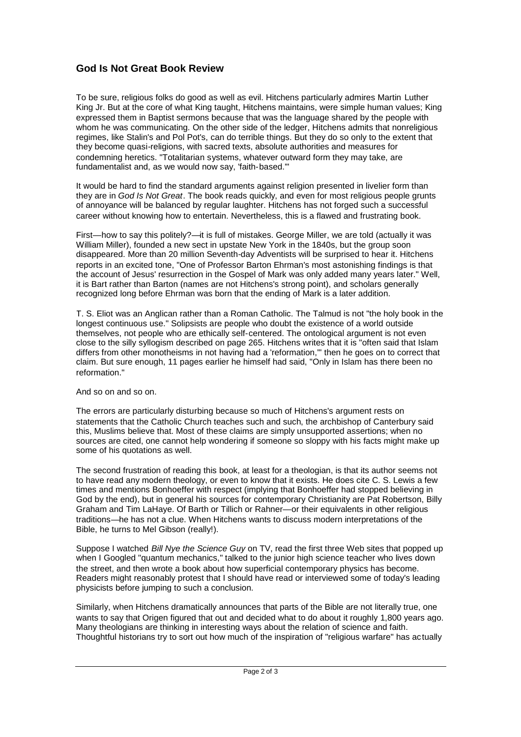## **God Is Not Great Book Review**

To be sure, religious folks do good as well as evil. Hitchens particularly admires Martin Luther King Jr. But at the core of what King taught, Hitchens maintains, were simple human values; King expressed them in Baptist sermons because that was the language shared by the people with whom he was communicating. On the other side of the ledger, Hitchens admits that nonreligious regimes, like Stalin's and Pol Pot's, can do terrible things. But they do so only to the extent that they become quasi-religions, with sacred texts, absolute authorities and measures for condemning heretics. "Totalitarian systems, whatever outward form they may take, are fundamentalist and, as we would now say, 'faith-based.'"

It would be hard to find the standard arguments against religion presented in livelier form than they are in *God Is Not Great*. The book reads quickly, and even for most religious people grunts of annoyance will be balanced by regular laughter. Hitchens has not forged such a successful career without knowing how to entertain. Nevertheless, this is a flawed and frustrating book.

First—how to say this politely?—it is full of mistakes. George Miller, we are told (actually it was William Miller), founded a new sect in upstate New York in the 1840s, but the group soon disappeared. More than 20 million Seventh-day Adventists will be surprised to hear it. Hitchens reports in an excited tone, "One of Professor Barton Ehrman's most astonishing findings is that the account of Jesus' resurrection in the Gospel of Mark was only added many years later." Well, it is Bart rather than Barton (names are not Hitchens's strong point), and scholars generally recognized long before Ehrman was born that the ending of Mark is a later addition.

T. S. Eliot was an Anglican rather than a Roman Catholic. The Talmud is not "the holy book in the longest continuous use." Solipsists are people who doubt the existence of a world outside themselves, not people who are ethically self-centered. The ontological argument is not even close to the silly syllogism described on page 265. Hitchens writes that it is "often said that Islam differs from other monotheisms in not having had a 'reformation,'" then he goes on to correct that claim. But sure enough, 11 pages earlier he himself had said, "Only in Islam has there been no reformation."

## And so on and so on.

The errors are particularly disturbing because so much of Hitchens's argument rests on statements that the Catholic Church teaches such and such, the archbishop of Canterbury said this, Muslims believe that. Most of these claims are simply unsupported assertions; when no sources are cited, one cannot help wondering if someone so sloppy with his facts might make up some of his quotations as well.

The second frustration of reading this book, at least for a theologian, is that its author seems not to have read any modern theology, or even to know that it exists. He does cite C. S. Lewis a few times and mentions Bonhoeffer with respect (implying that Bonhoeffer had stopped believing in God by the end), but in general his sources for contemporary Christianity are Pat Robertson, Billy Graham and Tim LaHaye. Of Barth or Tillich or Rahner—or their equivalents in other religious traditions—he has not a clue. When Hitchens wants to discuss modern interpretations of the Bible, he turns to Mel Gibson (really!).

Suppose I watched *Bill Nye the Science Guy* on TV, read the first three Web sites that popped up when I Googled "quantum mechanics," talked to the junior high science teacher who lives down the street, and then wrote a book about how superficial contemporary physics has become. Readers might reasonably protest that I should have read or interviewed some of today's leading physicists before jumping to such a conclusion.

Similarly, when Hitchens dramatically announces that parts of the Bible are not literally true, one wants to say that Origen figured that out and decided what to do about it roughly 1,800 years ago. Many theologians are thinking in interesting ways about the relation of science and faith. Thoughtful historians try to sort out how much of the inspiration of "religious warfare" has actually